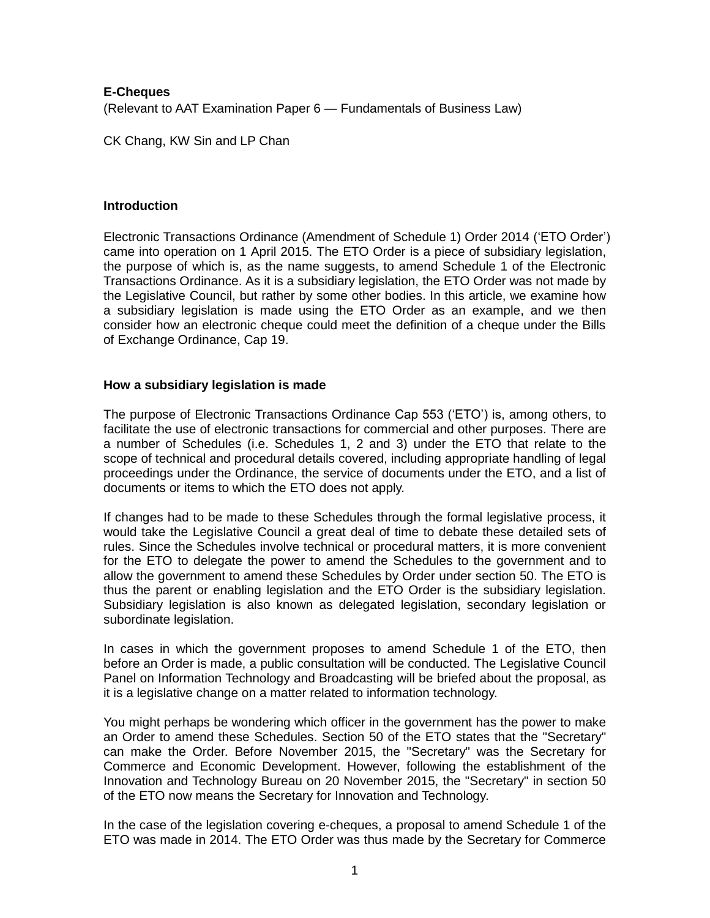# **E-Cheques** (Relevant to AAT Examination Paper 6 — Fundamentals of Business Law)

CK Chang, KW Sin and LP Chan

## **Introduction**

Electronic Transactions Ordinance (Amendment of Schedule 1) Order 2014 ('ETO Order') came into operation on 1 April 2015. The ETO Order is a piece of subsidiary legislation, the purpose of which is, as the name suggests, to amend Schedule 1 of the Electronic Transactions Ordinance. As it is a subsidiary legislation, the ETO Order was not made by the Legislative Council, but rather by some other bodies. In this article, we examine how a subsidiary legislation is made using the ETO Order as an example, and we then consider how an electronic cheque could meet the definition of a cheque under the Bills of Exchange Ordinance, Cap 19.

# **How a subsidiary legislation is made**

The purpose of Electronic Transactions Ordinance Cap 553 ('ETO') is, among others, to facilitate the use of electronic transactions for commercial and other purposes. There are a number of Schedules (i.e. Schedules 1, 2 and 3) under the ETO that relate to the scope of technical and procedural details covered, including appropriate handling of legal proceedings under the Ordinance, the service of documents under the ETO, and a list of documents or items to which the ETO does not apply.

If changes had to be made to these Schedules through the formal legislative process, it would take the Legislative Council a great deal of time to debate these detailed sets of rules. Since the Schedules involve technical or procedural matters, it is more convenient for the ETO to delegate the power to amend the Schedules to the government and to allow the government to amend these Schedules by Order under section 50. The ETO is thus the parent or enabling legislation and the ETO Order is the subsidiary legislation. Subsidiary legislation is also known as delegated legislation, secondary legislation or subordinate legislation.

In cases in which the government proposes to amend Schedule 1 of the ETO, then before an Order is made, a public consultation will be conducted. The Legislative Council Panel on Information Technology and Broadcasting will be briefed about the proposal, as it is a legislative change on a matter related to information technology.

You might perhaps be wondering which officer in the government has the power to make an Order to amend these Schedules. Section 50 of the ETO states that the "Secretary" can make the Order. Before November 2015, the "Secretary" was the Secretary for Commerce and Economic Development. However, following the establishment of the Innovation and Technology Bureau on 20 November 2015, the "Secretary" in section 50 of the ETO now means the Secretary for Innovation and Technology.

In the case of the legislation covering e-cheques, a proposal to amend Schedule 1 of the ETO was made in 2014. The ETO Order was thus made by the Secretary for Commerce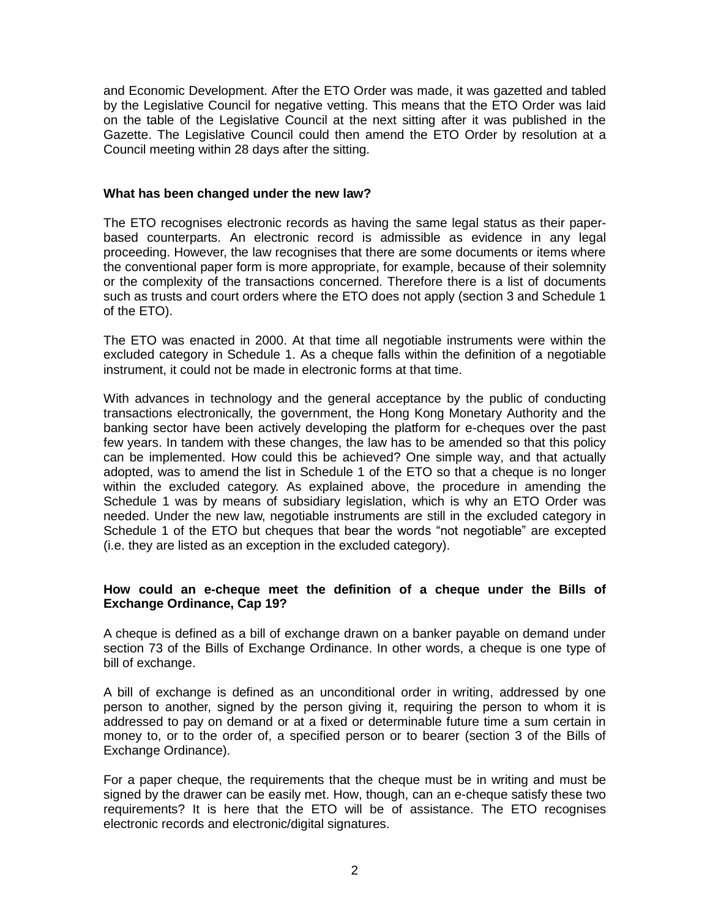and Economic Development. After the ETO Order was made, it was gazetted and tabled by the Legislative Council for negative vetting. This means that the ETO Order was laid on the table of the Legislative Council at the next sitting after it was published in the Gazette. The Legislative Council could then amend the ETO Order by resolution at a Council meeting within 28 days after the sitting.

#### **What has been changed under the new law?**

The ETO recognises electronic records as having the same legal status as their paperbased counterparts. An electronic record is admissible as evidence in any legal proceeding. However, the law recognises that there are some documents or items where the conventional paper form is more appropriate, for example, because of their solemnity or the complexity of the transactions concerned. Therefore there is a list of documents such as trusts and court orders where the ETO does not apply (section 3 and Schedule 1 of the ETO).

The ETO was enacted in 2000. At that time all negotiable instruments were within the excluded category in Schedule 1. As a cheque falls within the definition of a negotiable instrument, it could not be made in electronic forms at that time.

With advances in technology and the general acceptance by the public of conducting transactions electronically, the government, the Hong Kong Monetary Authority and the banking sector have been actively developing the platform for e-cheques over the past few years. In tandem with these changes, the law has to be amended so that this policy can be implemented. How could this be achieved? One simple way, and that actually adopted, was to amend the list in Schedule 1 of the ETO so that a cheque is no longer within the excluded category. As explained above, the procedure in amending the Schedule 1 was by means of subsidiary legislation, which is why an ETO Order was needed. Under the new law, negotiable instruments are still in the excluded category in Schedule 1 of the ETO but cheques that bear the words "not negotiable" are excepted (i.e. they are listed as an exception in the excluded category).

## **How could an e-cheque meet the definition of a cheque under the Bills of Exchange Ordinance, Cap 19?**

A cheque is defined as a bill of exchange drawn on a banker payable on demand under section 73 of the Bills of Exchange Ordinance. In other words, a cheque is one type of bill of exchange.

A bill of exchange is defined as an unconditional order in writing, addressed by one person to another, signed by the person giving it, requiring the person to whom it is addressed to pay on demand or at a fixed or determinable future time a sum certain in money to, or to the order of, a specified person or to bearer (section 3 of the Bills of Exchange Ordinance).

For a paper cheque, the requirements that the cheque must be in writing and must be signed by the drawer can be easily met. How, though, can an e-cheque satisfy these two requirements? It is here that the ETO will be of assistance. The ETO recognises electronic records and electronic/digital signatures.